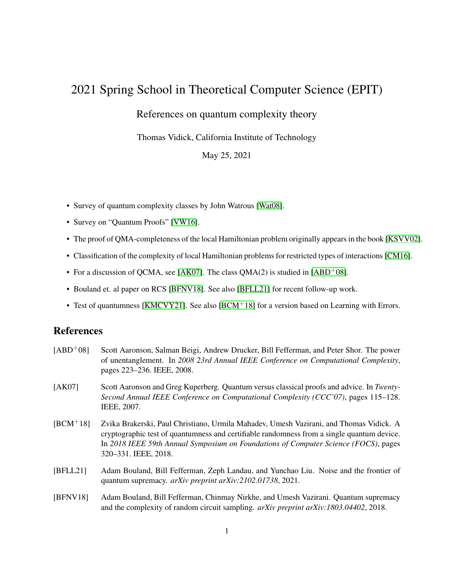## 2021 Spring School in Theoretical Computer Science (EPIT)

## References on quantum complexity theory

Thomas Vidick, California Institute of Technology

May 25, 2021

- Survey of quantum complexity classes by John Watrous [\[Wat08\]](#page-1-0).
- Survey on "Quantum Proofs" [\[VW16\]](#page-1-1).
- The proof of QMA-completeness of the local Hamiltonian problem originally appears in the book [\[KSVV02\]](#page-1-2).
- Classification of the complexity of local Hamiltonian problems for restricted types of interactions [\[CM16\]](#page-1-3).
- For a discussion of QCMA, see [\[AK07\]](#page-0-0). The class  $QMA(2)$  is studied in [\[ABD](#page-0-1)<sup>+</sup>08].
- Bouland et. al paper on RCS [\[BFNV18\]](#page-0-2). See also [\[BFLL21\]](#page-0-3) for recent follow-up work.
- Test of quantumness [\[KMCVY21\]](#page-1-4). See also [\[BCM](#page-0-4)<sup>+</sup>18] for a version based on Learning with Errors.

## References

- <span id="page-0-1"></span>[ABD+08] Scott Aaronson, Salman Beigi, Andrew Drucker, Bill Fefferman, and Peter Shor. The power of unentanglement. In *2008 23rd Annual IEEE Conference on Computational Complexity*, pages 223–236. IEEE, 2008.
- <span id="page-0-0"></span>[AK07] Scott Aaronson and Greg Kuperberg. Quantum versus classical proofs and advice. In *Twenty-Second Annual IEEE Conference on Computational Complexity (CCC'07)*, pages 115–128. IEEE, 2007.
- <span id="page-0-4"></span>[BCM+18] Zvika Brakerski, Paul Christiano, Urmila Mahadev, Umesh Vazirani, and Thomas Vidick. A cryptographic test of quantumness and certifiable randomness from a single quantum device. In *2018 IEEE 59th Annual Symposium on Foundations of Computer Science (FOCS)*, pages 320–331. IEEE, 2018.
- <span id="page-0-3"></span>[BFLL21] Adam Bouland, Bill Fefferman, Zeph Landau, and Yunchao Liu. Noise and the frontier of quantum supremacy. *arXiv preprint arXiv:2102.01738*, 2021.
- <span id="page-0-2"></span>[BFNV18] Adam Bouland, Bill Fefferman, Chinmay Nirkhe, and Umesh Vazirani. Quantum supremacy and the complexity of random circuit sampling. *arXiv preprint arXiv:1803.04402*, 2018.